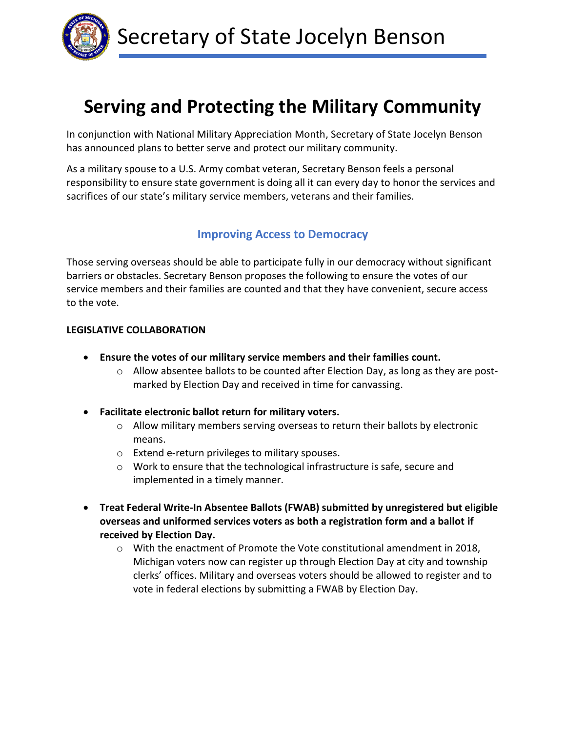

# **Serving and Protecting the Military Community**

In conjunction with National Military Appreciation Month, Secretary of State Jocelyn Benson has announced plans to better serve and protect our military community.

As a military spouse to a U.S. Army combat veteran, Secretary Benson feels a personal responsibility to ensure state government is doing all it can every day to honor the services and sacrifices of our state's military service members, veterans and their families.

# **Improving Access to Democracy**

Those serving overseas should be able to participate fully in our democracy without significant barriers or obstacles. Secretary Benson proposes the following to ensure the votes of our service members and their families are counted and that they have convenient, secure access to the vote.

### **LEGISLATIVE COLLABORATION**

- **Ensure the votes of our military service members and their families count.**
	- $\circ$  Allow absentee ballots to be counted after Election Day, as long as they are postmarked by Election Day and received in time for canvassing.
- **Facilitate electronic ballot return for military voters.**
	- $\circ$  Allow military members serving overseas to return their ballots by electronic means.
	- o Extend e-return privileges to military spouses.
	- o Work to ensure that the technological infrastructure is safe, secure and implemented in a timely manner.
- **Treat Federal Write-In Absentee Ballots (FWAB) submitted by unregistered but eligible overseas and uniformed services voters as both a registration form and a ballot if received by Election Day.**
	- $\circ$  With the enactment of Promote the Vote constitutional amendment in 2018, Michigan voters now can register up through Election Day at city and township clerks' offices. Military and overseas voters should be allowed to register and to vote in federal elections by submitting a FWAB by Election Day.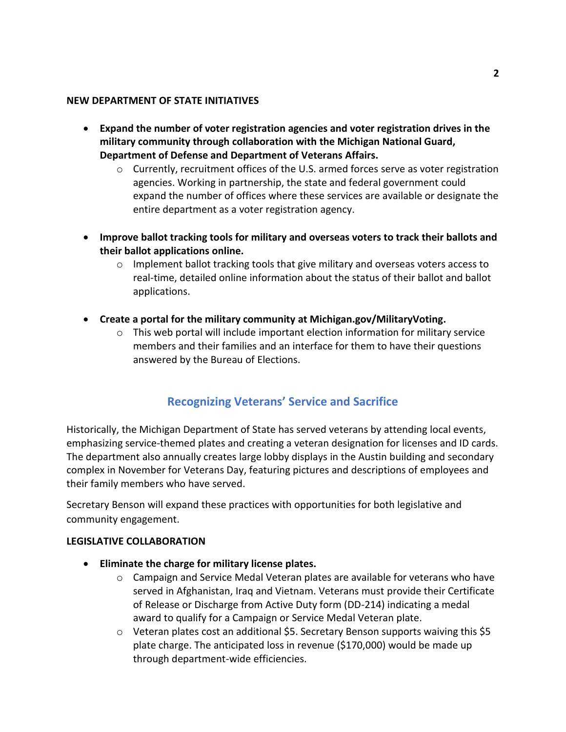#### **NEW DEPARTMENT OF STATE INITIATIVES**

- **Expand the number of voter registration agencies and voter registration drives in the military community through collaboration with the Michigan National Guard, Department of Defense and Department of Veterans Affairs.**
	- $\circ$  Currently, recruitment offices of the U.S. armed forces serve as voter registration agencies. Working in partnership, the state and federal government could expand the number of offices where these services are available or designate the entire department as a voter registration agency.
- **Improve ballot tracking tools for military and overseas voters to track their ballots and their ballot applications online.**
	- o Implement ballot tracking tools that give military and overseas voters access to real-time, detailed online information about the status of their ballot and ballot applications.
- **Create a portal for the military community at Michigan.gov/MilitaryVoting.**
	- $\circ$  This web portal will include important election information for military service members and their families and an interface for them to have their questions answered by the Bureau of Elections.

# **Recognizing Veterans' Service and Sacrifice**

Historically, the Michigan Department of State has served veterans by attending local events, emphasizing service-themed plates and creating a veteran designation for licenses and ID cards. The department also annually creates large lobby displays in the Austin building and secondary complex in November for Veterans Day, featuring pictures and descriptions of employees and their family members who have served.

Secretary Benson will expand these practices with opportunities for both legislative and community engagement.

#### **LEGISLATIVE COLLABORATION**

- **Eliminate the charge for military license plates.**
	- $\circ$  Campaign and Service Medal Veteran plates are available for veterans who have served in Afghanistan, Iraq and Vietnam. Veterans must provide their Certificate of Release or Discharge from Active Duty form (DD-214) indicating a medal award to qualify for a Campaign or Service Medal Veteran plate.
	- $\circ$  Veteran plates cost an additional \$5. Secretary Benson supports waiving this \$5 plate charge. The anticipated loss in revenue (\$170,000) would be made up through department-wide efficiencies.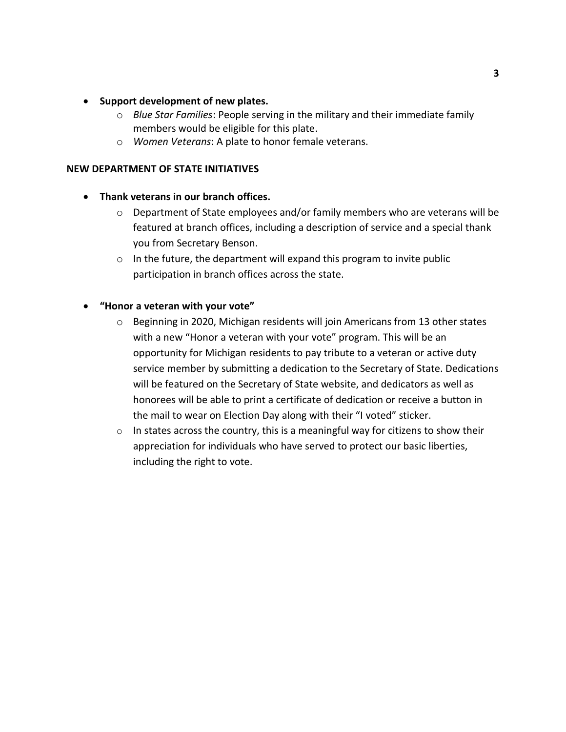#### • **Support development of new plates.**

- o *Blue Star Families*: People serving in the military and their immediate family members would be eligible for this plate.
- o *Women Veterans*: A plate to honor female veterans.

#### **NEW DEPARTMENT OF STATE INITIATIVES**

#### • **Thank veterans in our branch offices.**

- $\circ$  Department of State employees and/or family members who are veterans will be featured at branch offices, including a description of service and a special thank you from Secretary Benson.
- $\circ$  In the future, the department will expand this program to invite public participation in branch offices across the state.

#### • **"Honor a veteran with your vote"**

- $\circ$  Beginning in 2020, Michigan residents will join Americans from 13 other states with a new "Honor a veteran with your vote" program. This will be an opportunity for Michigan residents to pay tribute to a veteran or active duty service member by submitting a dedication to the Secretary of State. Dedications will be featured on the Secretary of State website, and dedicators as well as honorees will be able to print a certificate of dedication or receive a button in the mail to wear on Election Day along with their "I voted" sticker.
- $\circ$  In states across the country, this is a meaningful way for citizens to show their appreciation for individuals who have served to protect our basic liberties, including the right to vote.